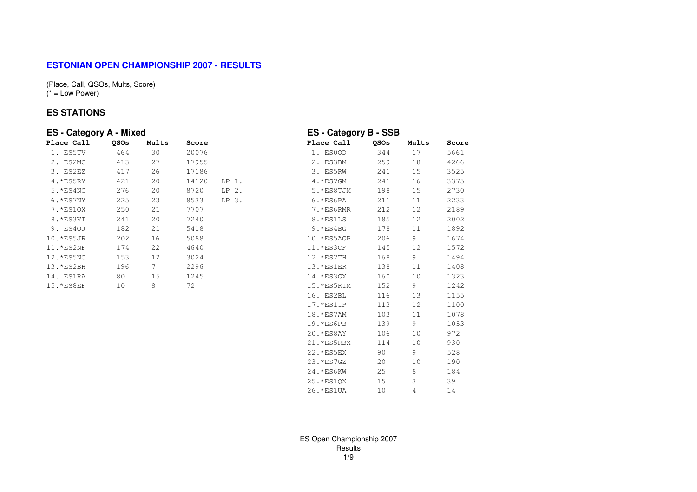### **ESTONIAN OPEN CHAMPIONSHIP 2007 - RESULTS**

(Place, Call, QSOs, Mults, Score) $(* = Low Power)$ 

#### **ES STATIONS**

| <b>ES</b> - Category A - Mixed |                 |       |       |         | <b>ES - Category B - SSB</b> |      |       |       |
|--------------------------------|-----------------|-------|-------|---------|------------------------------|------|-------|-------|
| Place Call                     | QSOs            | Mults | Score |         | Place Call                   | QSOs | Mults | Score |
| 1. ES5TV                       | 464             | 30    | 20076 |         | 1. ESOQD                     | 344  | 17    | 5661  |
| 2. ES2MC                       | 413             | 27    | 17955 |         | 2. ES3BM                     | 259  | 18    | 4266  |
| 3. ES2EZ                       | 417             | 26    | 17186 |         | 3. ES5RW                     | 241  | 15    | 3525  |
| $4.*ES5RY$                     | 421             | 20    | 14120 | $LP1$ . | $4. *$ ES7GM                 | 241  | 16    | 3375  |
| 5. *ES4NG                      | 276             | 20    | 8720  | $LP2$ . | 5.*ES8TJM                    | 198  | 15    | 2730  |
| $6.*ES7NY$                     | 225             | 23    | 8533  | LP 3.   | $6.*ES6PA$                   | 211  | 11    | 2233  |
| 7. *ES10X                      | 250             | 21    | 7707  |         | 7.*ES6RMR                    | 212  | 12    | 2189  |
| 8. *ES3VI                      | 241             | 20    | 7240  |         | 8.*ES1LS                     | 185  | 12    | 2002  |
| 9. ES40J                       | 182             | 21    | 5418  |         | $9.*ES4BG$                   | 178  | 11    | 1892  |
| 10. *ES5JR                     | 202             | 16    | 5088  |         | 10.*ES5AGP                   | 206  | 9     | 1674  |
| 11. *ES2NF                     | 174             | 22    | 4640  |         | $11.*ES3CF$                  | 145  | 12    | 1572  |
| 12. *ES5NC                     | 153             | 12    | 3024  |         | 12.*ES7TH                    | 168  | 9     | 1494  |
| 13.*ES2BH                      | 196             | 7     | 2296  |         | $13.*ES1ER$                  | 138  | 11    | 1408  |
| 14. ES1RA                      | 80              | 15    | 1245  |         | $14.*ES3GX$                  | 160  | 10    | 1323  |
| 15. *ES8EF                     | 10 <sup>°</sup> | 8     | 72    |         | 15.*ES5RIM                   | 152  | 9     | 1242  |
|                                |                 |       |       |         | 16. ES2BL                    | 116  | 13    | 1155  |
|                                |                 |       |       |         | $17.*ES1IP$                  | 113  | 12    | 1100  |
|                                |                 |       |       |         | 18. * ES7AM                  | 103  | 11    | 1078  |
|                                |                 |       |       |         | $19.*ES6PB$                  | 139  | 9     | 1053  |
|                                |                 |       |       |         | $20.*ES8AY$                  | 106  | 10    | 972   |
|                                |                 |       |       |         | 21. *ES5RBX                  | 114  | 10    | 930   |
|                                |                 |       |       |         | 22. * ES5EX                  | 90   | 9     | 528   |

ES Open Championship 2007Results1/9

23.\*ES7GZ 20 10 190

24.\*ES6KW 25 8 184

25.\*ES1QX 15 3 39

26.\*ES1UA 10 4 14

190

184

39

14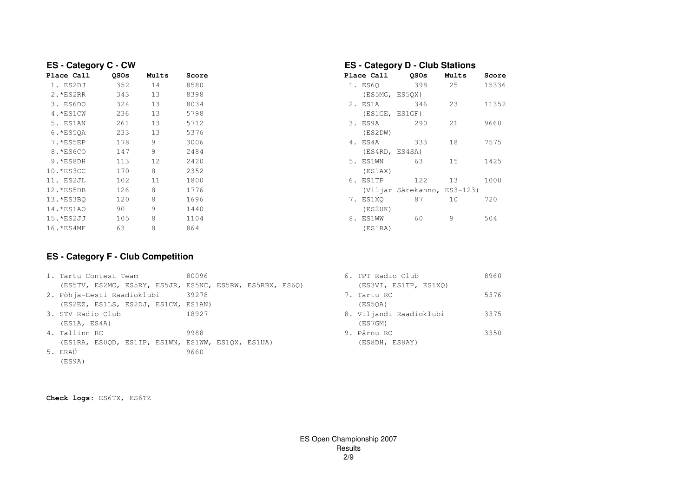| <b>ES</b> - Category C - CW |      |       |       | <b>ES - Category D - Club Stations</b> |                             |       |       |  |  |  |
|-----------------------------|------|-------|-------|----------------------------------------|-----------------------------|-------|-------|--|--|--|
| Place Call                  | QSOs | Mults | Score | Place Call                             | <b>OSOs</b>                 | Mults | Score |  |  |  |
| 1. ES2DJ                    | 352  | 14    | 8580  | 1. ES60                                | 398                         | 25    | 15336 |  |  |  |
| 2. *ES2RR                   | 343  | 13    | 8398  |                                        | (ES5MG, ES5QX)              |       |       |  |  |  |
| 3. ES6DO                    | 324  | 13    | 8034  | 2. ES1A                                | 346                         | 23    | 11352 |  |  |  |
| 4. * ES1CW                  | 236  | 13    | 5798  |                                        | (ES1GE, ES1GF)              |       |       |  |  |  |
| 5. ES1AN                    | 261  | 13    | 5712  | 3. ES9A                                | 290                         | 21    | 9660  |  |  |  |
| 6. *ES50A                   | 233  | 13    | 5376  | (ES2DW)                                |                             |       |       |  |  |  |
| 7. *ES5EP                   | 178  | 9     | 3006  | 4. ES4A                                | 333                         | 18    | 7575  |  |  |  |
| 8. *ES6CO                   | 147  | 9     | 2484  |                                        | (ES4RD, ES4SA)              |       |       |  |  |  |
| 9. *ES8DH                   | 113  | 12    | 2420  | 5. ES1WN                               | 63                          | 15    | 1425  |  |  |  |
| 10. * ES3CC                 | 170  | 8     | 2352  | (ES1AX)                                |                             |       |       |  |  |  |
| 11. ES2JL                   | 102  | 11    | 1800  | 6. ES1TP                               | 122                         | 13    | 1000  |  |  |  |
| 12. *ES5DB                  | 126  | 8     | 1776  |                                        | (Viljar Särekanno, ES3-123) |       |       |  |  |  |
| 13. *ES3BO                  | 120  | 8     | 1696  | 7. ES1XO                               | 87                          | 10    | 720   |  |  |  |
| 14.*ES1AO                   | 90   | 9     | 1440  | (ES2UK)                                |                             |       |       |  |  |  |
| 15. *ES2JJ                  | 105  | 8     | 1104  | 8. ES1WW                               | 60                          | 9     | 504   |  |  |  |
| 16. * ES4MF                 | 63   | 8     | 864   | (ES1RA)                                |                             |       |       |  |  |  |

## **ES - Category F - Club Competition**

| 1. Tartu Contest Team                                    | 80096 | 6. TPT Radio Club       | 8960 |
|----------------------------------------------------------|-------|-------------------------|------|
| (ES5TV, ES2MC, ES5RY, ES5JR, ES5NC, ES5RW, ES5RBX, ES6Q) |       | (ES3VI, ES1TP, ES1XO)   |      |
| 2. Põhja-Eesti Raadioklubi                               | 39278 | 7. Tartu RC             | 5376 |
| (ES2EZ, ES1LS, ES2DJ, ES1CW, ES1AN)                      |       | (ES50A)                 |      |
| 3. STV Radio Club                                        | 18927 | 8. Viljandi Raadioklubi | 3375 |
| (ES1A, ES4A)                                             |       | (ES7GM)                 |      |
| 4. Tallinn RC                                            | 9988  | 9. Pärnu RC             | 3350 |
| (ES1RA, ESOQD, ES1IP, ES1WN, ES1WW, ES1QX, ES1UA)        |       | (ES8DH, ES8AY)          |      |
| 5. ERAÜ                                                  | 9660  |                         |      |
| (ES9A)                                                   |       |                         |      |

**Check logs:** ES6TX, ES6TZ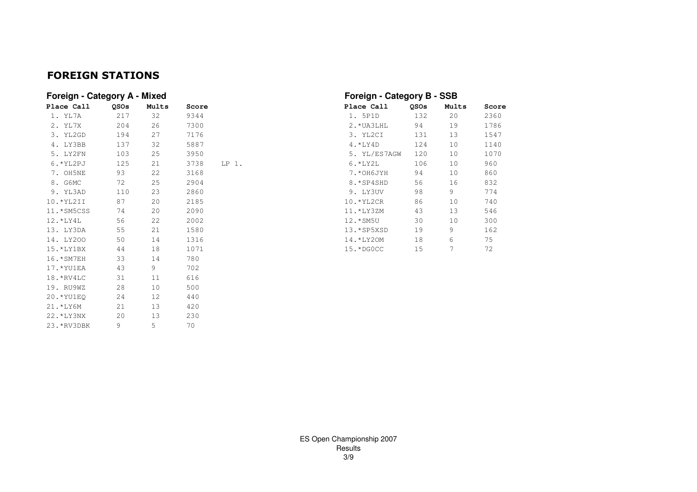## FOREIGN STATIONS

| Foreign - Category A - Mixed |             |       |       |       |              | Foreign - Category B - SSB |       |       |  |  |  |
|------------------------------|-------------|-------|-------|-------|--------------|----------------------------|-------|-------|--|--|--|
| Place Call                   | <b>OSOs</b> | Mults | Score |       | Place Call   | <b>OSOs</b>                | Mults | Score |  |  |  |
| 1. YL7A                      | 217         | 32    | 9344  |       | 1. 5P1D      | 132                        | 20    | 2360  |  |  |  |
| 2. YL7X                      | 204         | 26    | 7300  |       | 2. * UA3LHL  | 94                         | 19    | 1786  |  |  |  |
| 3. YL2GD                     | 194         | 27    | 7176  |       | 3. YL2CI     | 131                        | 13    | 1547  |  |  |  |
| 4. LY3BB                     | 137         | 32    | 5887  |       | $4.*LY4D$    | 124                        | 10    | 1140  |  |  |  |
| 5. LY2FN                     | 103         | 25    | 3950  |       | 5. YL/ES7AGW | 120                        | 10    | 1070  |  |  |  |
| $6.$ * YL2PJ                 | 125         | 21    | 3738  | LP 1. | $6.*LYZL$    | 106                        | 10    | 960   |  |  |  |
| 7. OH5NE                     | 93          | 22    | 3168  |       | 7.*OH6JYH    | 94                         | 10    | 860   |  |  |  |
| 8. G6MC                      | 72          | 25    | 2904  |       | 8.*SP4SHD    | 56                         | 16    | 832   |  |  |  |
| 9. YL3AD                     | 110         | 23    | 2860  |       | 9. LY3UV     | 98                         | 9     | 774   |  |  |  |
| $10.*YL2II$                  | 87          | 20    | 2185  |       | 10.*YL2CR    | 86                         | 10    | 740   |  |  |  |
| 11.*SM5CSS                   | 74          | 20    | 2090  |       | 11.*LY3ZM    | 43                         | 13    | 546   |  |  |  |
| 12.*LY4L                     | 56          | 22    | 2002  |       | 12.*SM5U     | 30                         | 10    | 300   |  |  |  |
| 13. LY3DA                    | 55          | 21    | 1580  |       | 13.*SP5XSD   | 19                         | 9     | 162   |  |  |  |
| 14. LY200                    | 50          | 14    | 1316  |       | 14.*LY20M    | 18                         | 6     | 75    |  |  |  |
| $15.*LY1BX$                  | 44          | 18    | 1071  |       | 15.*DGOCC    | 15                         | 7     | 72    |  |  |  |
| 16. * SM7EH                  | 33          | 14    | 780   |       |              |                            |       |       |  |  |  |
| 17.*YU1EA                    | 43          | 9     | 702   |       |              |                            |       |       |  |  |  |
| 18.*RV4LC                    | 31          | 11    | 616   |       |              |                            |       |       |  |  |  |
| 19. RU9WZ                    | 28          | 10    | 500   |       |              |                            |       |       |  |  |  |
| 20.*YU1EO                    | 24          | 12    | 440   |       |              |                            |       |       |  |  |  |
| 21.*LY6M                     | 21          | 13    | 420   |       |              |                            |       |       |  |  |  |
| 22. *LY3NX                   | 20          | 13    | 230   |       |              |                            |       |       |  |  |  |
| 23. *RV3DBK                  | 9           | 5     | 70    |       |              |                            |       |       |  |  |  |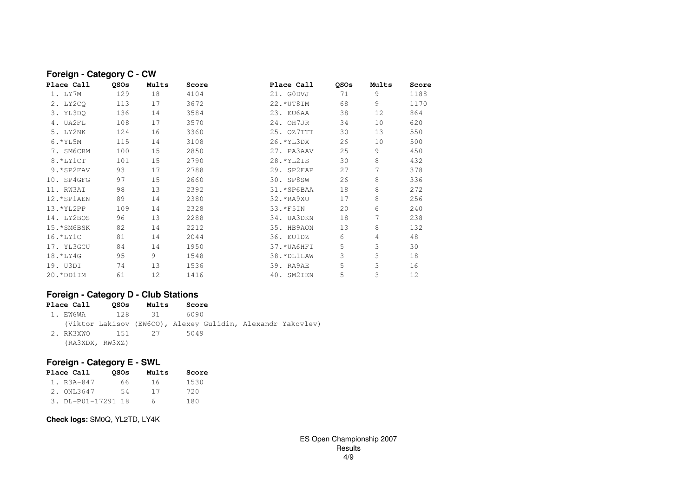| Foreign - Category C - CW |             |       |       |              |      |       |       |  |  |  |  |  |
|---------------------------|-------------|-------|-------|--------------|------|-------|-------|--|--|--|--|--|
| Place Call                | <b>OSOs</b> | Mults | Score | Place Call   | QSOs | Mults | Score |  |  |  |  |  |
| 1. LY7M                   | 129         | 18    | 4104  | 21. GODVJ    | 71   | 9     | 1188  |  |  |  |  |  |
| 2. LY2CO                  | 113         | 17    | 3672  | 22. * UT8IM  | 68   | 9     | 1170  |  |  |  |  |  |
| 3. YL3DO                  | 136         | 14    | 3584  | 23. EU6AA    | 38   | 12    | 864   |  |  |  |  |  |
| 4. UA2FL                  | 108         | 17    | 3570  | 24. OH7JR    | 34   | 10    | 620   |  |  |  |  |  |
| 5. LY2NK                  | 124         | 16    | 3360  | 25. OZ7TTT   | 30   | 13    | 550   |  |  |  |  |  |
| $6.$ * YL5M               | 115         | 14    | 3108  | 26. * YL3DX  | 26   | 10    | 500   |  |  |  |  |  |
| 7. SM6CRM                 | 100         | 15    | 2850  | 27. PA3AAV   | 25   | 9     | 450   |  |  |  |  |  |
| 8. *LY1CT                 | 101         | 15    | 2790  | 28. * YL2IS  | 30   | 8     | 432   |  |  |  |  |  |
| 9.*SP2FAV                 | 93          | 17    | 2788  | 29. SP2FAP   | 27   | 7     | 378   |  |  |  |  |  |
| $10.$ SP4GFG              | 97          | 15    | 2660  | 30. SP8SW    | 26   | 8     | 336   |  |  |  |  |  |
| 11. RW3AT                 | 98          | 13    | 2392  | 31. * SP6BAA | 18   | 8     | 272   |  |  |  |  |  |
| 12. * SP1AEN              | 89          | 14    | 2380  | 32. *RA9XU   | 17   | 8     | 256   |  |  |  |  |  |
| 13. * YL2PP               | 109         | 14    | 2328  | 33. *F5IN    | 20   | 6     | 240   |  |  |  |  |  |
| 14. LY2BOS                | 96          | 13    | 2288  | 34. UA3DKN   | 18   | 7     | 238   |  |  |  |  |  |
| 15. * SM6BSK              | 82          | 14    | 2212  | 35. HB9AON   | 13   | 8     | 132   |  |  |  |  |  |
| $16.*LY1C$                | 81          | 14    | 2044  | 36. EU1DZ    | 6    | 4     | 48    |  |  |  |  |  |
| 17. YL3GCU                | 84          | 14    | 1950  | 37. * UA6HFI | 5    | 3     | 30    |  |  |  |  |  |
| 18.*LY4G                  | 95          | 9     | 1548  | 38. *DL1LAW  | 3    | 3     | 18    |  |  |  |  |  |
| 19. U3DI                  | 74          | 13    | 1536  | 39. RA9AE    | 5    | 3     | 16    |  |  |  |  |  |
| $20.*DD1IM$               | 61          | 12    | 1416  | 40. SM2IEN   | 5    | 3     | 12    |  |  |  |  |  |
|                           |             |       |       |              |      |       |       |  |  |  |  |  |

## **Foreign - Category D - Club Stations**

| Place Call      | OSOs | Mults            | Score                                                       |  |
|-----------------|------|------------------|-------------------------------------------------------------|--|
|                 |      |                  | 6090                                                        |  |
|                 |      |                  | (Viktor Lakisov (EW6OO), Alexey Gulidin, Alexandr Yakovlev) |  |
|                 |      | 2. RK3XWO 151 27 | 5049                                                        |  |
| (RA3XDX, RW3XZ) |      |                  |                                                             |  |

## **Foreign - Category E - SWL**

| <b>Place Call</b>  | <b>OSOs</b> | Mults | Score |
|--------------------|-------------|-------|-------|
| 1. R3A-847         | 66.         | 16    | 1530  |
| 2. ONL3647         | 54          | 17    | 720   |
| 3. DL-P01-17291 18 |             | 6     | 180   |

**Check logs:** SM0Q, YL2TD, LY4K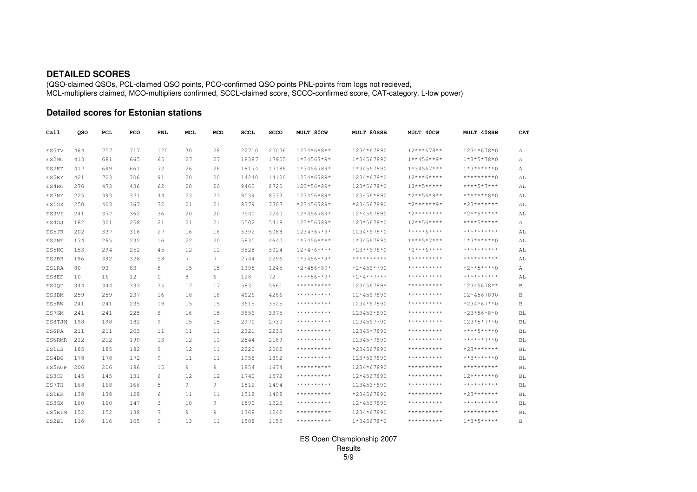#### **DETAILED SCORES**

(QSO-claimed QSOs, PCL-claimed QSO points, PCO-confirmed QSO points PNL-points from logs not recieved, MCL-multipliers claimed, MCO-multipliers confirmed, SCCL-claimed score, SCCO-confirmed score, CAT-category, L-low power)

#### **Detailed scores for Estonian stations**

| Call         | QSO | PCL | PCO | PNL            | <b>MCL</b>     | MCO               | <b>SCCL</b> | <b>SCCO</b> | <b>MULT 80CW</b> | <b>MULT 80SSB</b> | MULT 40CW         | <b>MULT 40SSB</b>                                                                                                                                            | CA1                    |
|--------------|-----|-----|-----|----------------|----------------|-------------------|-------------|-------------|------------------|-------------------|-------------------|--------------------------------------------------------------------------------------------------------------------------------------------------------------|------------------------|
| ES5TV        | 464 | 757 | 717 | 120            | 30             | 28                | 22710       | 20076       | $1234*6*8**$     | 1234*67890        | $12***678**$      | 1234*678*0                                                                                                                                                   | Α                      |
| ES2MC        | 413 | 681 | 665 | 65             | 27             | 27                | 18387       | 17955       | $1*34567*9*$     | 1*34567890        | $1***456***9*$    | $1*3*5*78*0$                                                                                                                                                 | А                      |
| ES2EZ        | 417 | 699 | 661 | 72             | 26             | 26                | 18174       | 17186       | 1*3456789*       | 1*34567890        | $1*34567***$      | $1*3*****0$                                                                                                                                                  | Α                      |
| ES5RY        | 421 | 723 | 706 | 91             | 20             | 20                | 14240       | 14120       | 1234*6789*       | 1234*678*0        | $12***6****$      | *********()                                                                                                                                                  | AL                     |
| ES4NG        | 276 | 473 | 436 | 62             | 20             | 20                | 9460        | 8720        | 123*56*89*       | 123*5678*0        | $12***5***$       | ****5*7***                                                                                                                                                   | AL                     |
| ES7NY        | 225 | 393 | 371 | 44             | 23             | 23                | 9039        | 8533        | 123456*89*       | 123456*890        | $*2***56*8**$     | *******8*0                                                                                                                                                   | AL                     |
| ES10X        | 250 | 403 | 367 | 32             | 21             | 21                | 8379        | 7707        | *23456789*       | *234567890        | $*2******9*$      | $*23******$                                                                                                                                                  | AL                     |
| ES3VI        | 241 | 377 | 362 | 36             | 20             | 20                | 7540        | 7240        | 12*456789*       | 12*4567890        | *2********        | $*2***5****$                                                                                                                                                 | AL                     |
| ES40J        | 182 | 301 | 258 | 21             | 21             | 21                | 5502        | 5418        | 123*56789*       | 123*5678*0        | $12***56***$      | ****5*****                                                                                                                                                   | Α                      |
| ES5JR        | 202 | 337 | 318 | 27             | 16             | 16                | 5392        | 5088        | 1234*67*9*       | 1234*678*0        | *****6****        | **********                                                                                                                                                   | AL                     |
| ES2NF        | 174 | 265 | 232 | 16             | 22             | 20                | 5830        | 4640        | $1*3456***$      | 1*34567890        | $1***5*7***$      | $1*3*****0$                                                                                                                                                  | AL                     |
| ES5NC        | 153 | 294 | 252 | 45             | 12             | $12 \overline{ }$ | 3528        | 3024        | $12*4*6***$      | *23**678*0        | $*2***6****$      | **********                                                                                                                                                   | AL                     |
| ES2BH        | 196 | 392 | 328 | 58             | $\overline{7}$ | 7                 | 2744        | 2296        | $1*3456**9*$     | $***************$ | $7************$   | **********                                                                                                                                                   | AL                     |
| ES1RA        | 80  | 93  | 83  | 8              | 15             | 15                | 1395        | 1245        | $*2*456*89*$     | $*2*456**90$      | **********        | $*2***5***0$                                                                                                                                                 | А                      |
| ES8EF        | 10  | 16  | 12  | $\circ$        | 8              | 6                 | 128         | 72          | ****56**9*       | $*2*4**7***$      | **********        | **********                                                                                                                                                   | AL                     |
| ES00D        | 344 | 344 | 333 | 35             | 17             | 17                | 5831        | 5661        | **********       | 123456789*        | $***************$ | 12345678**                                                                                                                                                   | B                      |
| ES3BM        | 259 | 259 | 237 | 16             | 18             | 18                | 4626        | 4266        | **********       | 12*4567890        | **********        | 12*4567890                                                                                                                                                   | B                      |
| ES5RW        | 241 | 241 | 235 | 19             | 15             | 15                | 3615        | 3525        | **********       | 1234*67890        | **********        | $*234*67**0$                                                                                                                                                 | $\, {\bf B}$           |
| ES7GM        | 241 | 241 | 225 | 8              | 16             | 15                | 3856        | 3375        | **********       | 123456*890        | **********        | $*23*56*8*0$                                                                                                                                                 | <b>BL</b>              |
| ES8TJM       | 198 | 198 | 182 | 9              | 15             | 15                | 2970        | 2730        | **********       | 1234567*90        | **********        | $123*5*7**0$                                                                                                                                                 | BL                     |
| ES6PA        | 211 | 211 | 203 | 11             | 11             | 11                | 2321        | 2233        | **********       | 12345*7890        | **********        | $***+5***0$                                                                                                                                                  | $\mathbb{B}\mathbb{L}$ |
| ES6RMR       | 212 | 212 | 199 | 13             | 12             | 11                | 2544        | 2189        | **********       | 12345*7890        | **********        | ******7**0                                                                                                                                                   | BL                     |
| <b>ES1LS</b> | 185 | 185 | 182 | 9              | 12             | 11                | 2220        | 2002        | **********       | *234567890        | **********        | $*23******$                                                                                                                                                  | <b>BL</b>              |
| ES4BG        | 178 | 178 | 172 | 9              | 11             | 11                | 1958        | 1892        | **********       | 123*567890        | **********        | $***3******0$                                                                                                                                                | <b>BL</b>              |
| ES5AGP       | 206 | 206 | 186 | 15             | 9              | 9                 | 1854        | 1674        | **********       | 1234*67890        | **********        | **********                                                                                                                                                   | <b>BL</b>              |
| ES3CF        | 145 | 145 | 131 | 6              | 12             | 12                | 1740        | 1572        | **********       | 12*4567890        | **********        | $12******0$                                                                                                                                                  | BL                     |
| ES7TH        | 168 | 168 | 166 | 5              | 9              | 9                 | 1512        | 1494        | **********       | 123456*890        | **********        | $\pmb{\star}\,\pmb{\star}\,\pmb{\star}\,\pmb{\star}\,\pmb{\star}\,\pmb{\star}\,\pmb{\star}\,\pmb{\star}\,\pmb{\star}\,\pmb{\star}\,\pmb{\star}\,\pmb{\star}$ | BL                     |
| <b>ES1ER</b> | 138 | 138 | 128 | 6              | 11             | 11                | 1518        | 1408        | **********       | *234567890        | **********        | $*23******$                                                                                                                                                  | $\mathbb{B}\mathbb{L}$ |
| ES3GX        | 160 | 160 | 147 | 3              | 10             | 9                 | 1590        | 1323        | **********       | 12*4567890        | **********        | **********                                                                                                                                                   | <b>BL</b>              |
| ES5RIM       | 152 | 152 | 138 | $\overline{7}$ | 9              | 9                 | 1368        | 1242        | **********       | 1234*67890        | $*************$   | $***************$                                                                                                                                            | BL                     |
| ES2BL        | 116 | 116 | 105 | 0              | 13             | 11                | 1508        | 1155        | **********       | $1*345678*0$      | **********        | $1*3*5***$                                                                                                                                                   | В                      |

ES Open Championship 2007Results5/9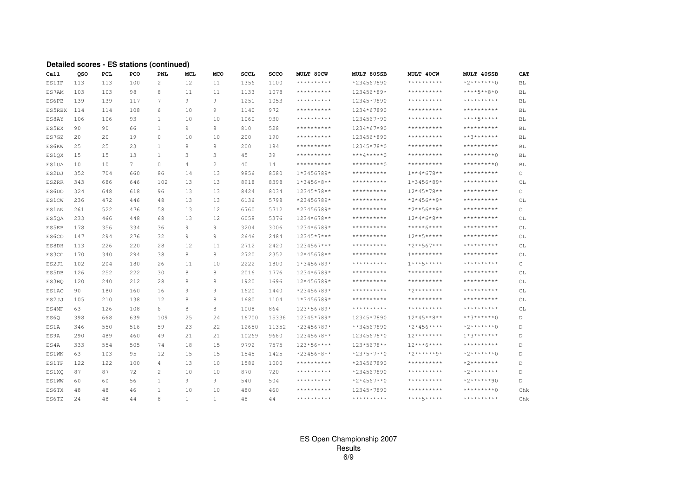#### Detailed scores - ES stations (continued)

| Call         | QSO | PCL | PCO | PNL            | <b>MCL</b>     | MCO          | <b>SCCL</b> | SCCO  | <b>MULT 80CW</b>  | MULT 80SSB      | MULT 40CW           | MULT 40SSB        | CAT         |
|--------------|-----|-----|-----|----------------|----------------|--------------|-------------|-------|-------------------|-----------------|---------------------|-------------------|-------------|
| ES1IP        | 113 | 113 | 100 | $\overline{c}$ | 12             | 11           | 1356        | 1100  | $***************$ | *234567890      | $*************$     | $*2******0$       | BL          |
| ES7AM        | 103 | 103 | 98  | 8              | 11             | 11           | 1133        | 1078  | **********        | 123456*89*      | $************$      | $***+5***8*0$     | BL          |
| ES6PB        | 139 | 139 | 117 | $\tau$         | 9              | 9            | 1251        | 1053  | $***************$ | 12345*7890      | **********          | $***************$ | BL          |
| ES5RBX       | 114 | 114 | 108 | 6              | 10             | 9            | 1140        | 972   | **********        | 1234*67890      | $***************$   | $*************$   | BL          |
| ES8AY        | 106 | 106 | 93  | 1              | 10             | 10           | 1060        | 930   | **********        | 1234567*90      | $***************$   | ****5*****        | BL          |
| ES5EX        | 90  | 90  | 66  | 1              | 9              | 8            | 810         | 528   | **********        | 1234*67*90      | **********          | $*************$   | BL          |
| ES7GZ        | 20  | 20  | 19  | $\circ$        | 10             | 10           | 200         | 190   | $***************$ | 123456*890      | $***************$   | $***3*******$     | BL          |
| ES6KW        | 25  | 25  | 23  | $\overline{1}$ | 8              | 8            | 200         | 184   | $***************$ | 12345*78*0      | $***************$   | $***************$ | BL          |
| ES1QX        | 15  | 15  | 13  | 1              | 3              | 3            | 45          | 39    | **********        | $***4*****0$    | $***************$   | $*********()$     | BL          |
| <b>ES1UA</b> | 10  | 10  | 7   | $\Omega$       | $\overline{4}$ | $\mathbf{2}$ | 40          | 14    | $***************$ | *********0      | $***************$   | $*********()$     | <b>BL</b>   |
| ES2DJ        | 352 | 704 | 660 | 86             | 14             | 13           | 9856        | 8580  | 1*3456789*        | $*************$ | $1***4*678**$       | $*************$   | C           |
| ES2RR        | 343 | 686 | 646 | 102            | 13             | 13           | 8918        | 8398  | $1*3456*8**$      | $*************$ | $1*3456*89*$        | $*************$   | СL          |
| ES6DO        | 324 | 648 | 618 | 96             | 13             | 13           | 8424        | 8034  | 12345*78**        | **********      | $12*45*78**$        | **********        | C           |
| ES1CW        | 236 | 472 | 446 | 48             | 13             | 13           | 6136        | 5798  | *23456789*        | **********      | $*2*456**9*$        | $*************$   | CL          |
| ES1AN        | 261 | 522 | 476 | 58             | 13             | 12           | 6760        | 5712  | *23456789*        | $*************$ | *2**56**9*          | $***************$ | C           |
| ES50A        | 233 | 466 | 448 | 68             | 13             | 12           | 6058        | 5376  | 1234*678**        | **********      | $12*4*6*8**$        | $************$    | СL          |
| ES5EP        | 178 | 356 | 334 | 36             | 9              | 9            | 3204        | 3006  | 1234*6789*        | **********      | *****6****          | **********        | CL          |
| ES6CO        | 147 | 294 | 276 | 32             | 9              | 9            | 2646        | 2484  | 12345*7***        | **********      | $12***5*****$       | $***************$ | СL          |
| ES8DH        | 113 | 226 | 220 | 28             | 12             | 11           | 2712        | 2420  | 1234567***        | **********      | *2**567***          | **********        | CL          |
| ES3CC        | 170 | 340 | 294 | 38             | 8              | 8            | 2720        | 2352  | 12*45678**        | **********      | $1**********$       | **********        | CL          |
| ES2JL        | 102 | 204 | 180 | 26             | 11             | 10           | 2222        | 1800  | 1*3456789*        | **********      | $1***5*****$        | **********        | C           |
| ES5DB        | 126 | 252 | 222 | 30             | 8              | 8            | 2016        | 1776  | 1234*6789*        | **********      | **********          | **********        | СL          |
| ES3BQ        | 120 | 240 | 212 | 28             | 8              | 8            | 1920        | 1696  | 12*456789*        | **********      | $*************$     | **********        | CL          |
| ES1AO        | 90  | 180 | 160 | 16             | 9              | 9            | 1620        | 1440  | *23456789*        | **********      | $*2*********$       | **********        | CL          |
| ES2JJ        | 105 | 210 | 138 | 12             | 8              | 8            | 1680        | 1104  | 1*3456789*        | **********      | * * * * * * * * * * | **********        | СL          |
| ES4MF        | 63  | 126 | 108 | 6              | 8              | 8            | 1008        | 864   | 123*56789*        | $*************$ | **********          | $***************$ | CL          |
| ES6Q         | 398 | 668 | 639 | 109            | 25             | 24           | 16700       | 15336 | 12345*789*        | 12345*7890      | $12*45**8**$        | **3******0        | D           |
| ES1A         | 346 | 550 | 516 | 59             | 23             | 22           | 12650       | 11352 | *23456789*        | **34567890      | *2*456****          | $*2******0$       | $\mathbb D$ |
| ES9A         | 290 | 489 | 460 | 49             | 21             | 21           | 10269       | 9660  | 12345678**        | 12345678*0      | $12*********$       | $1*3******$       | D           |
| ES4A         | 333 | 554 | 505 | 74             | 18             | 15           | 9792        | 7575  | 123*56****        | 123*5678**      | $12***6****$        | $************$    | D           |
| <b>ES1WN</b> | 63  | 103 | 95  | 12             | 15             | 15           | 1545        | 1425  | *23456*8**        | $*23*5*7**0$    | *2******9*          | $*2******0$       | D           |
| ES1TP        | 122 | 122 | 100 | $\overline{4}$ | 13             | 10           | 1586        | 1000  | $***************$ | *234567890      | $************$      | $*2********$      | D           |
| ES1XO        | 87  | 87  | 72  | $\overline{c}$ | 10             | 10           | 870         | 720   | $***************$ | *234567890      | **********          | $*2*********$     | D           |
| <b>ES1WW</b> | 60  | 60  | 56  | 1              | 9              | 9            | 540         | 504   | $***************$ | $*2*4567**0$    | $************$      | $*2*****90$       | D           |
| ES6TX        | 48  | 48  | 46  | 1              | 10             | 10           | 480         | 460   | **********        | 12345*7890      | $************$      | $*********()$     | Chk         |
| ES6TZ        | 2.4 | 48  | 44  | 8              | $\mathbf{1}$   | $\mathbf{1}$ | 48          | 44    | **********        | **********      | ****5*****          | **********        | Chk         |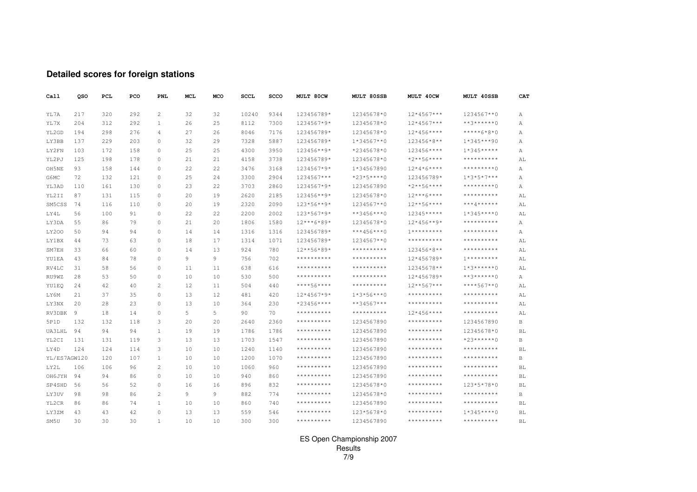## **Detailed scores for foreign stations**

| Call         | QSO            | PCL | PCO | <b>PNL</b>     | MCL | MCO | <b>SCCL</b> | SCCO | MULT 80CW         | MULT 80SSB    | MULT 40CW           | MULT 40SSB        | CAT       |
|--------------|----------------|-----|-----|----------------|-----|-----|-------------|------|-------------------|---------------|---------------------|-------------------|-----------|
| YL7A         | 217            | 320 | 292 | 2              | 32  | 32  | 10240       | 9344 | 123456789*        | 12345678*0    | $12*4567***$        | 1234567**0        | Α         |
| YL7X         | 204            | 312 | 292 | $\mathbf{1}$   | 26  | 25  | 8112        | 7300 | 1234567*9*        | 12345678*0    | $12*4567***$        | $***3******0$     | А         |
| YL2GD        | 194            | 298 | 276 | $\overline{4}$ | 27  | 26  | 8046        | 7176 | 123456789*        | 12345678*0    | $12*456***$         | $****6*8*0$       | Α         |
| LY3BB        | 137            | 229 | 203 | $\circ$        | 32  | 29  | 7328        | 5887 | 123456789*        | $1*34567**0$  | 123456*8**          | $1*345***90$      | Α         |
| LY2FN        | 103            | 172 | 158 | $\Omega$       | 25  | 25  | 4300        | 3950 | 123456**9*        | *2345678*0    | 123456****          | $1*345***$        | А         |
| YL2PJ        | 125            | 198 | 178 | 0              | 21  | 21  | 4158        | 3738 | 123456789*        | 12345678*0    | $*2***56****$       | $*************$   | AL        |
| OH5NE        | 93             | 158 | 144 | $\Omega$       | 22  | 22  | 3476        | 3168 | 1234567*9*        | 1*34567890    | $12*4*6***$         | *********0        | Α         |
| G6MC         | 72             | 132 | 121 | $\circ$        | 25  | 24  | 3300        | 2904 | 1234567***        | $*23*5***0$   | 123456789*          | $1*3*5*7***$      | Α         |
| YL3AD        | 110            | 161 | 130 | $\Omega$       | 23  | 22  | 3703        | 2860 | 1234567*9*        | 1234567890    | $*2***56****$       | *********0        | А         |
| YL2II        | 87             | 131 | 115 | $\mathbf{0}$   | 20  | 19  | 2620        | 2185 | 123456**9*        | 12345678*0    | $12***6****$        | **********        | AL        |
| SM5CSS       | 74             | 116 | 110 | $\Omega$       | 20  | 19  | 2320        | 2090 | 123*56**9*        | 1234567**0    | $12***56****$       | ***4******        | AL        |
| LY4L         | 56             | 100 | 91  | $\Omega$       | 22  | 22  | 2200        | 2002 | 123*567*9*        | $***3456***0$ | 12345*****          | $1*345***0$       | AL        |
| LY3DA        | 55             | 86  | 79  | $\Omega$       | 21  | 20  | 1806        | 1580 | 12***6*89*        | 12345678*0    | $12*456**9*$        | **********        | А         |
| <b>LY200</b> | 50             | 94  | 94  | $\Omega$       | 14  | 14  | 1316        | 1316 | 123456789*        | $***456***0$  | $1**********$       | **********        | Α         |
| LY1BX        | 44             | 73  | 63  | $\Omega$       | 18  | 17  | 1314        | 1071 | 123456789*        | 1234567**0    | **********          | **********        | AL        |
| SM7EH        | 33             | 66  | 60  | 0              | 14  | 13  | 924         | 780  | 12**56*89*        | **********    | 123456*8**          | **********        | AL        |
| YU1EA        | 43             | 84  | 78  | $\Omega$       | 9   | 9   | 756         | 702  | $*************$   | **********    | 12*456789*          | $1**********$     | AL        |
| RV4LC        | 31             | 58  | 56  | 0              | 11  | 11  | 638         | 616  | **********        | **********    | 12345678**          | $1*3*****0$       | AL        |
| RU9WZ        | 28             | 53  | 50  | 0              | 10  | 10  | 530         | 500  | **********        | **********    | 12*456789*          | **3******0        | Α         |
| YU1EO        | 24             | 42  | 40  | $\overline{c}$ | 12  | 11  | 504         | 440  | ****56****        | **********    | $12***567***$       | $****567**0$      | AL        |
| LY6M         | 21             | 37  | 35  | $\circ$        | 13  | 12  | 481         | 420  | $12*4567*9*$      | $1*3*56***0$  | **********          | **********        | AL        |
| LY3NX        | 20             | 28  | 23  | 0              | 13  | 10  | 364         | 230  | $*23456***$       | $***34567***$ | * * * * * * * * * * | **********        | AL        |
| RV3DBK       | $\overline{9}$ | 18  | 14  | $\circ$        | 5   | 5   | 90          | 70   | **********        | **********    | $12*456***$         | **********        | AL        |
| 5P1D         | 132            | 132 | 118 | 3              | 20  | 20  | 2640        | 2360 | **********        | 1234567890    | **********          | 1234567890        | В         |
| UA3LHL       | 94             | 94  | 94  | $\mathbf{1}$   | 19  | 19  | 1786        | 1786 | **********        | 1234567890    | * * * * * * * * * * | 12345678*0        | BL        |
| YL2CI        | 131            | 131 | 119 | 3              | 13  | 13  | 1703        | 1547 | **********        | 1234567890    | $************$      | $*23*****0$       | В         |
| LY4D         | 124            | 124 | 114 | 3              | 10  | 10  | 1240        | 1140 | **********        | 1234567890    | **********          | **********        | BL        |
| YL/ES7AGW120 |                | 120 | 107 | 1              | 10  | 10  | 1200        | 1070 | **********        | 1234567890    | $***************$   | **********        | B         |
| LY2L         | 106            | 106 | 96  | $\overline{c}$ | 10  | 10  | 1060        | 960  | $***************$ | 1234567890    | $***************$   | $***************$ | BL        |
| OH6JYH       | 94             | 94  | 86  | $\Omega$       | 10  | 10  | 940         | 860  | **********        | 1234567890    | $*************$     | **********        | BL        |
| SP4SHD       | 56             | 56  | 52  | $\circ$        | 16  | 16  | 896         | 832  | **********        | 12345678*0    | **********          | 123*5*78*0        | BL        |
| LY3UV        | 98             | 98  | 86  | $\overline{c}$ | 9   | 9   | 882         | 774  | **********        | 12345678*0    | **********          | **********        | B         |
| YL2CR        | 86             | 86  | 74  | $\mathbf{1}$   | 10  | 10  | 860         | 740  | **********        | 1234567890    | **********          | **********        | BL        |
| LY3ZM        | 43             | 43  | 42  | $\Omega$       | 13  | 13  | 559         | 546  | **********        | 123*5678*0    | **********          | $1*345***0$       | BL        |
| SM5U         | 30             | 30  | 30  | $\mathbf{1}$   | 10  | 10  | 300         | 300  | **********        | 1234567890    | **********          | **********        | <b>BL</b> |

# ES Open Championship 2007 Results 7/9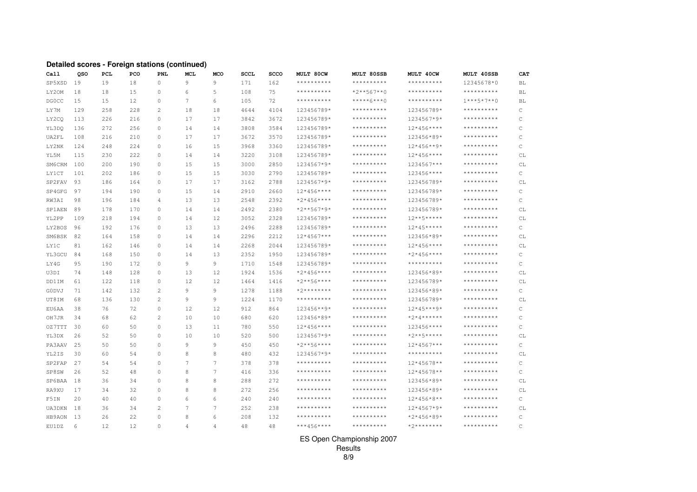#### **Detailed scores - Foreign stations (continued)**

| Call         | oso | PCL | PCO | PNL            | MCL | <b>MCO</b>     | <b>SCCL</b> | <b>SCCO</b> | MULT 80CW         | MULT 80SSB        | MULT 40CW           | MULT 40SSB          | CAT          |
|--------------|-----|-----|-----|----------------|-----|----------------|-------------|-------------|-------------------|-------------------|---------------------|---------------------|--------------|
| SP5XSD       | 19  | 19  | 18  | $\circ$        | 9   | 9              | 171         | 162         | **********        | **********        | **********          | 12345678*0          | BL           |
| LY20M        | 18  | 18  | 15  | 0              | 6   | 5              | 108         | 75          | $***************$ | $*2**567**0$      | $***************$   | **********          | <b>BL</b>    |
| <b>DGOCC</b> | 15  | 15  | 12  | $\Omega$       | 7   | 6              | 105         | 72          | $***************$ | *****6***0        | * * * * * * * * * * | $1***5*7**0$        | <b>BL</b>    |
| LY7M         | 129 | 258 | 228 | $\overline{c}$ | 18  | 18             | 4644        | 4104        | 123456789*        | **********        | 123456789*          | **********          | $\mathsf{C}$ |
| LY2CQ        | 113 | 226 | 216 | $\Omega$       | 17  | 17             | 3842        | 3672        | 123456789*        | **********        | 1234567*9*          | **********          | C            |
| YL3DO        | 136 | 272 | 256 | $\Omega$       | 14  | 14             | 3808        | 3584        | 123456789*        | **********        | $12*456***$         | **********          | C            |
| UA2FL        | 108 | 216 | 210 | $\Omega$       | 17  | 17             | 3672        | 3570        | 123456789*        | **********        | 123456*89*          | **********          | C            |
| LY2NK        | 124 | 248 | 224 | $\mathbf{0}$   | 16  | 15             | 3968        | 3360        | 123456789*        | **********        | $12*456**9*$        | **********          | C            |
| YL5M         | 115 | 230 | 222 | $\Omega$       | 14  | 14             | 3220        | 3108        | 123456789*        | **********        | $12*456***$         | **********          | СL           |
| SM6CRM       | 100 | 200 | 190 | $\Omega$       | 15  | 15             | 3000        | 2850        | 1234567*9*        | **********        | 1234567***          | **********          | СL           |
| <b>LY1CT</b> | 101 | 202 | 186 | $\Omega$       | 15  | 15             | 3030        | 2790        | 123456789*        | **********        | 123456****          | **********          | C            |
| SP2FAV       | 93  | 186 | 164 | $\Omega$       | 17  | 17             | 3162        | 2788        | 1234567*9*        | $*************$   | 123456789*          | **********          | СL           |
| SP4GFG       | 97  | 194 | 190 | $\Omega$       | 15  | 14             | 2910        | 2660        | $12*456***$       | **********        | 123456789*          | * * * * * * * * * * | C            |
| RW3AI        | 98  | 196 | 184 | 4              | 13  | 13             | 2548        | 2392        | $*2*456***$       | $***************$ | 123456789*          | $***************$   | C            |
| SP1AEN       | 89  | 178 | 170 | $\circ$        | 14  | 14             | 2492        | 2380        | $*2**567*9*$      | $***************$ | 123456789*          | **********          | СL           |
| YL2PP        | 109 | 218 | 194 | $\mathbf{0}$   | 14  | 12             | 3052        | 2328        | 123456789*        | **********        | $12***5*****$       | **********          | CL           |
| LY2BOS       | 96  | 192 | 176 | $\mathbf{0}$   | 13  | 13             | 2496        | 2288        | 123456789*        | **********        | $12*45***$          | **********          | C            |
| SM6BSK       | 82  | 164 | 158 | $\circ$        | 14  | 14             | 2296        | 2212        | $12*4567***$      | **********        | 123456*89*          | **********          | СL           |
| LY1C         | 81  | 162 | 146 | $\mathbf{0}$   | 14  | 14             | 2268        | 2044        | 123456789*        | **********        | $12*456***$         | **********          | CL           |
| YL3GCU       | 84  | 168 | 150 | $\circ$        | 14  | 13             | 2352        | 1950        | 123456789*        | **********        | *2*456****          | **********          | $\mathrm{C}$ |
| LY4G         | 95  | 190 | 172 | $\Omega$       | 9   | 9              | 1710        | 1548        | 123456789*        | **********        | **********          | **********          | C            |
| U3DI         | 74  | 148 | 128 | $\Omega$       | 13  | 12             | 1924        | 1536        | $*2*456***$       | **********        | 123456*89*          | **********          | CL           |
| DD1IM        | 61  | 122 | 118 | $\circ$        | 12  | 12             | 1464        | 1416        | $*2***56***$      | $***************$ | 123456789*          | **********          | CL           |
| <b>GODVJ</b> | 71  | 142 | 132 | $\overline{c}$ | 9   | 9              | 1278        | 1188        | $*2*********$     | **********        | 123456*89*          | **********          | C            |
| UT8IM        | 68  | 136 | 130 | $\overline{c}$ | 9   | 9              | 1224        | 1170        | $***************$ | **********        | 123456789*          | **********          | CL           |
| EU6AA        | 38  | 76  | 72  | $\mathbf{0}$   | 12  | 12             | 912         | 864         | 123456**9*        | **********        | $12*45***9*$        | **********          | C            |
| OH7JR        | 34  | 68  | 62  | 2              | 10  | 10             | 680         | 620         | 123456*89*        | **********        | $*2*4*****$         | **********          | C            |
| OZ7TTT       | 30  | 60  | 50  | $\Omega$       | 13  | 11             | 780         | 550         | $12*456***$       | **********        | 123456****          | **********          | C            |
| YL3DX        | 26  | 52  | 50  | $\Omega$       | 10  | 10             | 520         | 500         | 1234567*9*        | **********        | $*2***5***$         | **********          | СL           |
| PA3AAV       | 25  | 50  | 50  | $\Omega$       | 9   | 9              | 450         | 450         | $*2***56***$      | **********        | $12*4567***$        | **********          | C            |
| YL2IS        | 30  | 60  | 54  | $\Omega$       | 8   | 8              | 480         | 432         | 1234567*9*        | **********        | **********          | **********          | СL           |
| SP2FAP       | 27  | 54  | 54  | $\Omega$       | 7   | 7              | 378         | 378         | **********        | **********        | 12*45678**          | **********          | C            |
| SP8SW        | 26  | 52  | 48  | $\Omega$       | 8   | $\overline{7}$ | 416         | 336         | **********        | **********        | 12*45678**          | **********          | C            |
| SP6BAA       | 18  | 36  | 34  | $\Omega$       | 8   | 8              | 288         | 272         | $***************$ | **********        | 123456*89*          | * * * * * * * * * * | СL           |
| RA9XU        | 17  | 34  | 32  | 0              | 8   | 8              | 272         | 256         | **********        | **********        | 123456*89*          | **********          | CL           |
| F5IN         | 20  | 40  | 40  | 0              | 6   | 6              | 240         | 240         | $***************$ | **********        | $12*456*8**$        | * * * * * * * * * * | C            |
| UA3DKN       | 18  | 36  | 34  | $\overline{c}$ | 7   | 7              | 252         | 238         | **********        | **********        | 12*4567*9*          | **********          | СL           |
| HB9AON       | 13  | 26  | 22  | $\Omega$       | 8   | 6              | 208         | 132         | **********        | **********        | $*2*456*89*$        | **********          | C            |
| EU1DZ        | 6   | 12  | 12  | $\Omega$       | 4   | 4              | 48          | 48          | ***456****        | **********        | $*2*********$       | **********          | C            |

#### ES Open Championship 2007